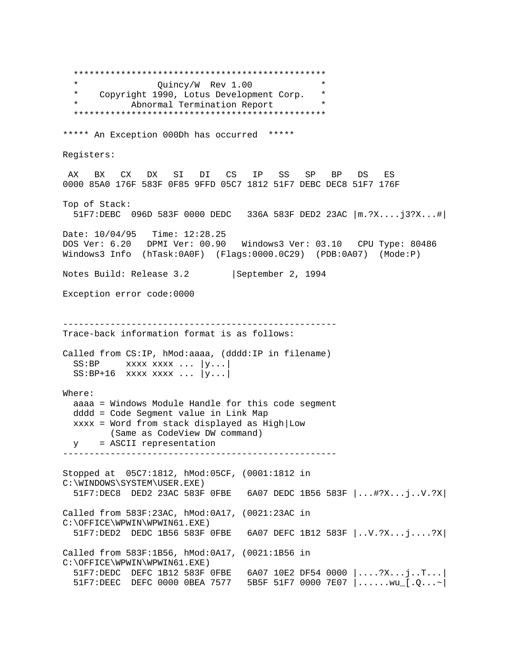\*\*\*\*\*\*\*\*\*\*\*\*\*\*\*\*\*\*\*\*\*\*\*\*\*\*\*\*\*\*\*\*\*\*\*\*\*\*\*\*\*\*\*\*\*\*\*\* \* Quincy/W Rev 1.00 \* \* Copyright 1990, Lotus Development Corp. \* Abnormal Termination Report \*\*\*\*\*\*\*\*\*\*\*\*\*\*\*\*\*\*\*\*\*\*\*\*\*\*\*\*\*\*\*\*\*\*\*\*\*\*\*\*\*\*\*\*\*\*\*\* \*\*\*\*\* An Exception 000Dh has occurred \*\*\*\*\* Registers: AX BX CX DX SI DI CS IP SS SP BP DS ES 0000 85A0 176F 583F 0F85 9FFD 05C7 1812 51F7 DEBC DEC8 51F7 176F Top of Stack: 51F7:DEBC 096D 583F 0000 DEDC 336A 583F DED2 23AC |m.?X....j3?X...#| Date: 10/04/95 Time: 12:28.25 DOS Ver: 6.20 DPMI Ver: 00.90 Windows3 Ver: 03.10 CPU Type: 80486 Windows3 Info (hTask:0A0F) (Flags:0000.0C29) (PDB:0A07) (Mode:P) Notes Build: Release 3.2 | September 2, 1994 Exception error code:0000 ---------------------------------------------------- Trace-back information format is as follows: Called from CS:IP, hMod:aaaa, (dddd:IP in filename)  $SS: BP$  xxxx xxxx ...  $|y...|$  $SS: BP+16$  xxxx xxxx ...  $|y...|$ Where: aaaa = Windows Module Handle for this code segment dddd = Code Segment value in Link Map xxxx = Word from stack displayed as High|Low (Same as CodeView DW command) y = ASCII representation ---------------------------------------------------- Stopped at 05C7:1812, hMod:05CF, (0001:1812 in C:\WINDOWS\SYSTEM\USER.EXE) 51F7:DEC8 DED2 23AC 583F 0FBE 6A07 DEDC 1B56 583F |...#?X...j..V.?X| Called from 583F:23AC, hMod:0A17, (0021:23AC in C:\OFFICE\WPWIN\WPWIN61.EXE) 51F7:DED2 DEDC 1B56 583F 0FBE 6A07 DEFC 1B12 583F |..V.?X...j....?X| Called from 583F:1B56, hMod:0A17, (0021:1B56 in C:\OFFICE\WPWIN\WPWIN61.EXE) 51F7:DEDC DEFC 1B12 583F 0FBE 6A07 10E2 DF54 0000 |....?X...j..T...| 51F7:DEEC DEFC 0000 0BEA 7577 5B5F 51F7 0000 7E07 |......wu\_[.Q...~|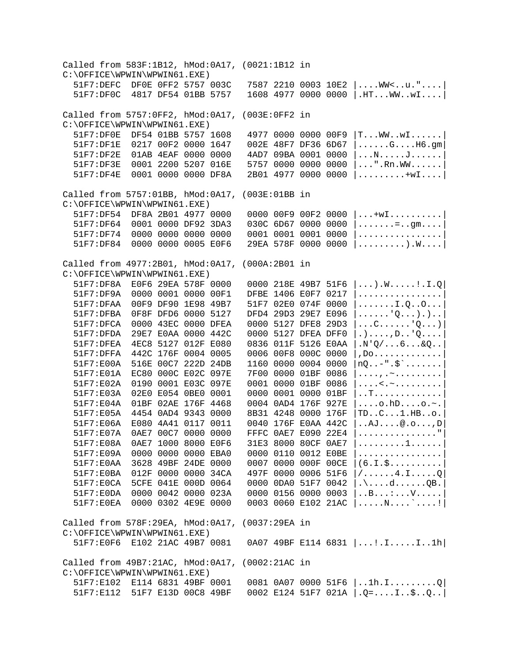Called from 583F:1B12, hMod:0A17, (0021:1B12 in C:\OFFICE\WPWIN\WPWIN61.EXE)<br>51F7:DEFC DF0E 0FF2 5757 003C  $7587$  2210 0003 10E2  $|...$ .WW<..u.".... 51F7:DF0C 4817 DF54 01BB 5757 1608 4977 0000 0000 |.HT...WW..wI....| Called from 5757:0FF2, hMod:0A17, (003E:0FF2 in C:\OFFICE\WPWIN\WPWIN61.EXE)<br>51F7:DF0E DF54 01BB 5757 1608  $51F7:DF0E$  DF54 01BB 5757 1608 4977 0000 0000 00F9  $|T...WW...w1......|$ <br>51F7:DF1E 0217 00F2 0000 1647 002E 48F7 DF36 6D67  $|......G...H6.com|$  $51F7:DF1E$  0217 00F2 0000 1647 002E 48F7 DF36 6D67  $|$ .....G....H6.gm<br>51F7:DF2E 01AB 4EAF 0000 0000 4AD7 09BA 0001 0000  $|$ ...N.....J......  $51F7:DF2E$  01AB 4EAF 0000 0000 4AD7 09BA 0001 0000  $|...N...J...J...|$ <br> $51F7:DF3E$  0001 2200 5207 016E 5757 0000 0000 0000  $|...".Rn.WW......$  $51F7:DF3E$  0001 2200 5207 016E 5757 0000 0000 0000  $| \dots$ ".Rn.WW......<br>51F7:DF4E 0001 0000 0000 DF8A 2B01 4977 0000 0000  $| \dots \dots \dots + w1 \dots$  $2B01$  4977 0000 0000  $|\ldots|\ldots|$ Called from 5757:01BB, hMod:0A17, (003E:01BB in C:\OFFICE\WPWIN\WPWIN61.EXE)<br>51F7:DF54 DF8A 2B01 4977 0000  $51F7:DF54$  DF8A 2B01 4977 0000 0000 00F9 00F2 0000  $| \ldots + wI \ldots \ldots \ldots |$ <br> $51F7:DF64$  0001 0000 DF92 3DA3 030C 6D67 0000 0000  $| \ldots \ldots |$  ...... 51F7:DF64 0001 0000 DF92 3DA3 030C 6D67 0000 0000 |.......=..gm....| 51F7:DF74 0000 0000 0000 0000 0001 0001 0001 0000 |................| 29EA 578F 0000 0000 |.........).W....| Called from 4977:2B01, hMod:0A17, (000A:2B01 in C:\OFFICE\WPWIN\WPWIN61.EXE)<br>51F7:DF8A E0F6 29EA 578F 0000 51F7:DF8A E0F6 29EA 578F 0000 0000 218E 49B7 51F6 |...).W.....!.I.Q| DFBE 1406 E0F7 0217 |................<br>51F7 02E0 074F 0000 |.......I.Q..O... 51F7:DFAA 00F9 DF90 1E98 49B7 51F7 02E0 074F 0000  $|$ ......I.Q..O...<br>51F7:DFBA 0F8F DFD6 0000 5127 DFD4 29D3 29E7 E096  $|$ .....'Q...).).. 51F7:DFBA 0F8F DFD6 0000 5127<br>51F7:DFCA 0000 43EC 0000 DFEA 51F7:DFCA 0000 43EC 0000 DFEA 0000 5127 DFE8 29D3  $|...C......|$ <sup>0</sup>,...)<br>51F7:DFDA 29E7 E0AA 0000 442C 0000 5127 DFEA DFF0  $|......$ D...O... 51F7:DFDA 29E7 E0AA 0000 442C 0000 5127 DFEA DFF0 |.)....,D..'Q....| 51F7:DFEA 4EC8 5127 012F E080 0836 011F 5126 E0AA |.N'Q/...6...&Q..|  $0006$   $00F8$   $000C$   $0000$   $,$   $D0$ .............  $51F7:EOOA$  516E 00C7 222D 24DB 1160 0000 0004 0000  $|nQ...$ -".\$`...... 51F7:E01A EC80 000C E02C 097E 7F00 0000 01BF 0086  $|$ ....,.~.........<br>51F7:E02A 0190 0001 E03C 097E 0001 0000 01BF 0086  $|$ ...<.~......... 51F7:E02A 0190 0001 E03C 097E 0001 0000 01BF 0086 |....<.~.........|  $51F7:EO3A$  02E0 E054 0BE0 0001 0000 0001 0000 01BF |..T.............<br>51F7:E04A 01BF 02AE 176F 4468 0004 0AD4 176F 927E |....o.hD....o.~.  $0004$   $0AD4$   $176F$   $927E$   $\ldots$ .o.hD....o.~. 51F7:E05A 4454 0AD4 9343 0000 8B31 4248 0000 176F |TD..C...1.HB..o.<br>51F7:E06A E080 4A41 0117 0011 0040 176F E0AA 442C |..AJ....@.o...,D 0040 176F E0AA 442C |..AJ....@.o...,D<br>FFFC 0AE7 E090 22E4 |................"|  $51F7: E07A$  0AE7 00C7 0000 0000 FFFC 0AE7 E090 22E4  $|$ ..............."<br>51F7:E08A 0AE7 1000 8000 E0F6 31E3 8000 80CF 0AE7  $|$ .........1......  $51F7:EO8A$  0AE7 1000 8000 E0F6 31E3 8000 80CF 0AE7  $|$ ........1......<br>51F7:E09A 0000 0000 0000 EBA0 0000 0110 0012 E0BE  $|$ ...............  $51F7:EO9A$  0000 0000 0000 EBA0 0000 0110 0012 E0BE  $|$ ...............<br>51F7:E0AA 3628 49BF 24DE 0000 0007 0000 000F 00CE  $|(6.I.S..........|$ 51F7:E0AA 3628 49BF 24DE 0000<br>51F7:E0BA 012F 0000 0000 34CA 51F7:E0BA 012F 0000 0000 34CA 497F 0000 0006 51F6 |/......4.I.....Q|  $51F7:EOCA$  5CFE 041E 000D 0064 0000 0DA0 51F7 0042  $|\ldots d...QB.$ <br>51F7:E0DA 0000 0042 0000 023A 0000 0156 0000 0003  $|\ldots B...:...V...|$  $51F7:EDDA$  0000 0042 0000 023A 0000 0156 0000 0003  $|..B...:..V...:|$ <br> $51F7:EOEA$  0000 0302 4E9E 0000 0003 0060 E102 21AC  $|......N...:...|$  $0003$  0060 E102 21AC  $|......N...$ ......! Called from 578F:29EA, hMod:0A17, (0037:29EA in C:\OFFICE\WPWIN\WPWIN61.EXE) 51F7:E0F6 E102 21AC 49B7 0081 0A07 49BF E114 6831 |...!.I.....I..1h| Called from 49B7:21AC, hMod:0A17, (0002:21AC in C:\OFFICE\WPWIN\WPWIN61.EXE) 51F7:E102 E114 6831 49BF 0001 0081 0A07 0000 51F6 |..1h.I.........Q| 51F7:E112 51F7 E13D 00C8 49BF 0002 E124 51F7 021A |.Q=....I..\$..Q..|